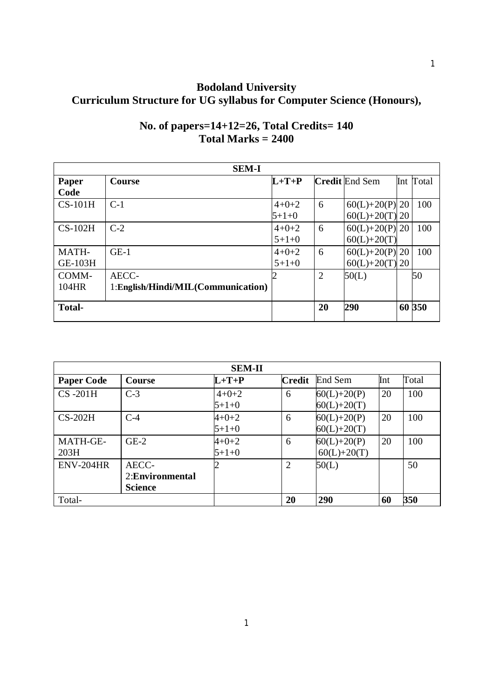# **Bodoland University Curriculum Structure for UG syllabus for Computer Science (Honours),**

| <b>SEM-I</b>   |                                    |             |    |                       |  |           |  |
|----------------|------------------------------------|-------------|----|-----------------------|--|-----------|--|
| Paper          | <b>Course</b>                      | $L+T+P$     |    | <b>Credit End Sem</b> |  | Int Total |  |
| Code           |                                    |             |    |                       |  |           |  |
| $CS-101H$      | $C-1$                              | $4+0+2$     | 6  | $60(L) + 20(P)$ 20    |  | 100       |  |
|                |                                    | $5+1+0$     |    | $60(L) + 20(T)$ 20    |  |           |  |
| $CS-102H$      | $C-2$                              | $4 + 0 + 2$ | 6  | $60(L) + 20(P)$ 20    |  | 100       |  |
|                |                                    | $5+1+0$     |    | $60(L) + 20(T)$       |  |           |  |
| MATH-          | $GE-1$                             | $4+0+2$     | 6  | $60(L) + 20(P)$ 20    |  | 100       |  |
| <b>GE-103H</b> |                                    | $5+1+0$     |    | $60(L) + 20(T)$ 20    |  |           |  |
| COMM-          | AECC-                              |             | 2  | 50(L)                 |  | 50        |  |
| 104HR          | 1:English/Hindi/MIL(Communication) |             |    |                       |  |           |  |
|                |                                    |             |    |                       |  |           |  |
| <b>Total-</b>  |                                    |             | 20 | 290                   |  | 60 350    |  |
|                |                                    |             |    |                       |  |           |  |

# **No. of papers=14+12=26, Total Credits= 140 Total Marks = 2400**

| <b>SEM-II</b>     |                                             |                        |                |                                  |     |       |  |
|-------------------|---------------------------------------------|------------------------|----------------|----------------------------------|-----|-------|--|
| <b>Paper Code</b> | <b>Course</b>                               | $L+T+P$                | <b>Credit</b>  | End Sem                          | Int | Total |  |
| $CS -201H$        | $C-3$                                       | $4 + 0 + 2$<br>$5+1+0$ | 6              | $60(L)+20(P)$<br>$60(L) + 20(T)$ | 20  | 100   |  |
| $CS-202H$         | $C-4$                                       | $4 + 0 + 2$<br>$5+1+0$ | 6              | $60(L)+20(P)$<br>$60(L)+20(T)$   | 20  | 100   |  |
| MATH-GE-<br>203H  | $GE-2$                                      | $4 + 0 + 2$<br>$5+1+0$ | 6              | $60(L)+20(P)$<br>$60(L)+20(T)$   | 20  | 100   |  |
| $ENV-204HR$       | AECC-<br>2: Environmental<br><b>Science</b> |                        | $\overline{2}$ | 50(L)                            |     | 50    |  |
| Total-            |                                             |                        | 20             | 290                              | 60  | 350   |  |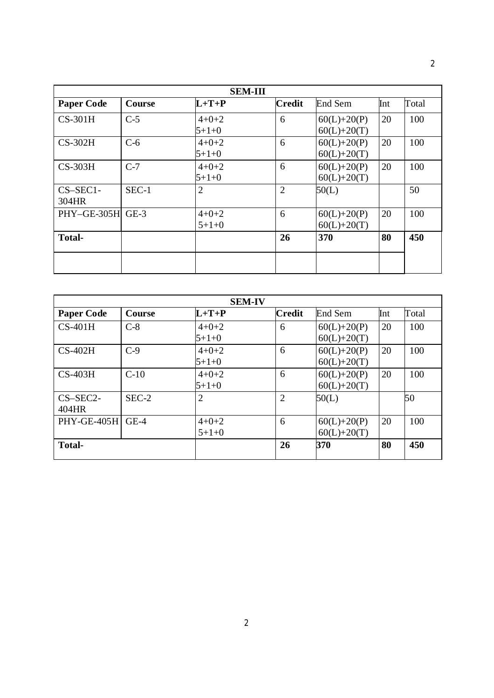| <b>SEM-III</b>      |               |                        |                |                                  |     |       |  |
|---------------------|---------------|------------------------|----------------|----------------------------------|-----|-------|--|
| <b>Paper Code</b>   | <b>Course</b> | $L+T+P$                | <b>Credit</b>  | End Sem                          | Int | Total |  |
| $CS-301H$           | $C-5$         | $4 + 0 + 2$<br>$5+1+0$ | 6              | $60(L)+20(P)$<br>$60(L) + 20(T)$ | 20  | 100   |  |
| $CS-302H$           | $C-6$         | $4 + 0 + 2$<br>$5+1+0$ | 6              | $60(L)+20(P)$<br>$60(L)+20(T)$   | 20  | 100   |  |
| $CS-303H$           | $C-7$         | $4 + 0 + 2$<br>$5+1+0$ | 6              | $60(L)+20(P)$<br>$60(L)+20(T)$   | 20  | 100   |  |
| $CS-SEC1-$<br>304HR | $SEC-1$       | $\overline{2}$         | $\overline{2}$ | 50(L)                            |     | 50    |  |
| PHY-GE-305H GE-3    |               | $4 + 0 + 2$<br>$5+1+0$ | 6              | $60(L)+20(P)$<br>$60(L) + 20(T)$ | 20  | 100   |  |
| <b>Total-</b>       |               |                        | 26             | 370                              | 80  | 450   |  |
|                     |               |                        |                |                                  |     |       |  |

| <b>SEM-IV</b>      |               |                |                |               |     |       |  |
|--------------------|---------------|----------------|----------------|---------------|-----|-------|--|
| <b>Paper Code</b>  | <b>Course</b> | $L+T+P$        | <b>Credit</b>  | End Sem       | Int | Total |  |
| $CS-401H$          | $C-8$         | $4 + 0 + 2$    | 6              | $60(L)+20(P)$ | 20  | 100   |  |
|                    |               | $5+1+0$        |                | $60(L)+20(T)$ |     |       |  |
| $CS-402H$          | $C-9$         | $4+0+2$        | 6              | $60(L)+20(P)$ | 20  | 100   |  |
|                    |               | $5+1+0$        |                | $60(L)+20(T)$ |     |       |  |
| $CS-403H$          | $C-10$        | $4 + 0 + 2$    | 6              | $60(L)+20(P)$ | 20  | 100   |  |
|                    |               | $5+1+0$        |                | $60(L)+20(T)$ |     |       |  |
| $CS-SEC2-$         | $SEC-2$       | $\overline{2}$ | $\overline{2}$ | 50(L)         |     | 50    |  |
| 404HR              |               |                |                |               |     |       |  |
| <b>PHY-GE-405H</b> | $GE-4$        | $4 + 0 + 2$    | 6              | $60(L)+20(P)$ | 20  | 100   |  |
|                    |               | $5+1+0$        |                | $60(L)+20(T)$ |     |       |  |
| <b>Total-</b>      |               |                | 26             | 370           | 80  | 450   |  |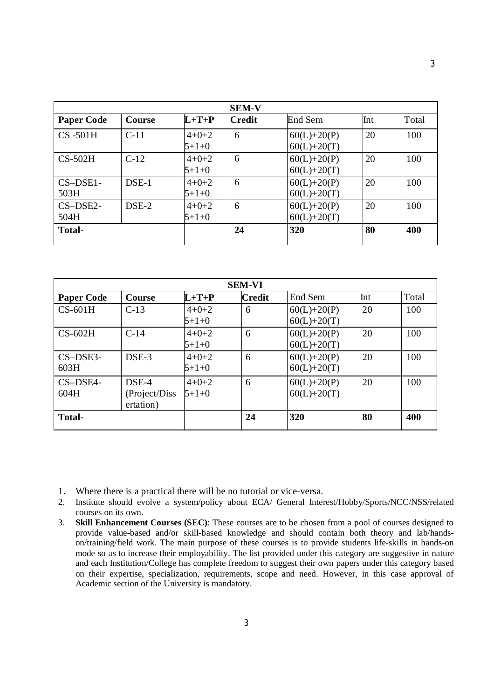| <b>SEM-V</b>        |               |                        |               |                                |     |       |  |  |
|---------------------|---------------|------------------------|---------------|--------------------------------|-----|-------|--|--|
| <b>Paper Code</b>   | <b>Course</b> | $L+T+P$                | <b>Credit</b> | End Sem                        | Int | Total |  |  |
| $CS -501H$          | $C-11$        | $4 + 0 + 2$<br>$5+1+0$ | 6             | $60(L)+20(P)$<br>$60(L)+20(T)$ | 20  | 100   |  |  |
| $CS-502H$           | $C-12$        | $4 + 0 + 2$<br>$5+1+0$ | 6             | $60(L)+20(P)$<br>$60(L)+20(T)$ | 20  | 100   |  |  |
| $CS$ -DSE1-<br>503H | DSE-1         | $4 + 0 + 2$<br>$5+1+0$ | 6             | $60(L)+20(P)$<br>$60(L)+20(T)$ | 20  | 100   |  |  |
| $CS$ -DSE2-<br>504H | DSE-2         | $4 + 0 + 2$<br>$5+1+0$ | 6             | $60(L)+20(P)$<br>$60(L)+20(T)$ | 20  | 100   |  |  |
| <b>Total-</b>       |               |                        | 24            | 320                            | 80  | 400   |  |  |

| <b>SEM-VI</b>       |                                     |                            |               |                                |     |       |  |
|---------------------|-------------------------------------|----------------------------|---------------|--------------------------------|-----|-------|--|
| <b>Paper Code</b>   | <b>Course</b>                       | $L+T+P$                    | <b>Credit</b> | End Sem                        | Int | Total |  |
| $CS-601H$           | $C-13$                              | $4 + 0 + 2$<br>$5 + 1 + 0$ | 6             | $60(L)+20(P)$<br>$60(L)+20(T)$ | 20  | 100   |  |
| $CS-602H$           | $C-14$                              | $4 + 0 + 2$<br>$5+1+0$     | 6             | $60(L)+20(P)$<br>$60(L)+20(T)$ | 20  | 100   |  |
| $CS$ -DSE3-<br>603H | DSE-3                               | $4 + 0 + 2$<br>$5 + 1 + 0$ | 6             | $60(L)+20(P)$<br>$60(L)+20(T)$ | 20  | 100   |  |
| $CS$ -DSE4-<br>604H | DSE-4<br>(Project/Diss<br>ertation) | $4 + 0 + 2$<br>$5+1+0$     | 6             | $60(L)+20(P)$<br>$60(L)+20(T)$ | 20  | 100   |  |
| <b>Total-</b>       |                                     |                            | 24            | 320                            | 80  | 400   |  |

1. Where there is a practical there will be no tutorial or vice-versa.

- 2. Institute should evolve a system/policy about ECA/ General Interest/Hobby/Sports/NCC/NSS/related courses on its own.
- 3. **Skill Enhancement Courses (SEC)**: These courses are to be chosen from a pool of courses designed to provide value-based and/or skill-based knowledge and should contain both theory and lab/handson/training/field work. The main purpose of these courses is to provide students life-skills in hands-on mode so as to increase their employability. The list provided under this category are suggestive in nature and each Institution/College has complete freedom to suggest their own papers under this category based on their expertise, specialization, requirements, scope and need. However, in this case approval of Academic section of the University is mandatory.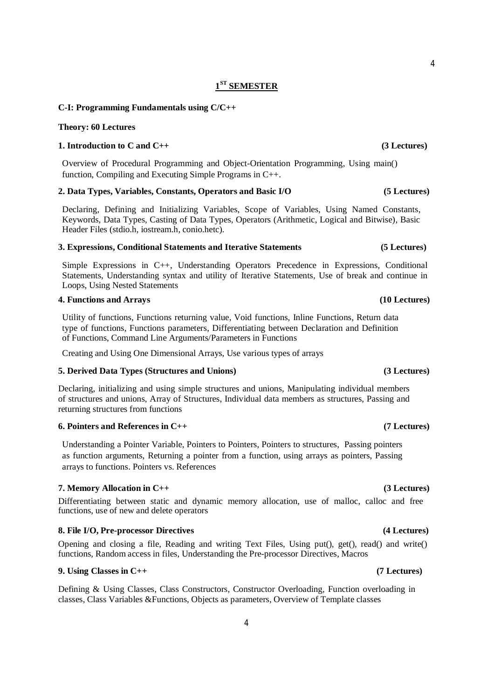**1 ST SEMESTER**

Overview of Procedural Programming and Object-Orientation Programming, Using main() function, Compiling and Executing Simple Programs in C++.

# **2. Data Types, Variables, Constants, Operators and Basic I/O (5 Lectures)**

Declaring, Defining and Initializing Variables, Scope of Variables, Using Named Constants, Keywords, Data Types, Casting of Data Types, Operators (Arithmetic, Logical and Bitwise), Basic Header Files (stdio.h, iostream.h, conio.hetc).

# **3. Expressions, Conditional Statements and Iterative Statements (5 Lectures)**

Simple Expressions in C++, Understanding Operators Precedence in Expressions, Conditional Statements, Understanding syntax and utility of Iterative Statements, Use of break and continue in Loops, Using Nested Statements

### **4. Functions and Arrays (10 Lectures)**

**Theory: 60 Lectures**

Utility of functions, Functions returning value, Void functions, Inline Functions, Return data type of functions, Functions parameters, Differentiating between Declaration and Definition of Functions, Command Line Arguments/Parameters in Functions

Creating and Using One Dimensional Arrays, Use various types of arrays

#### **5. Derived Data Types (Structures and Unions) (3 Lectures)**

**C-I: Programming Fundamentals using C/C++**

Declaring, initializing and using simple structures and unions, Manipulating individual members of structures and unions, Array of Structures, Individual data members as structures, Passing and returning structures from functions

### **6. Pointers and References in C++ (7 Lectures)**

Understanding a Pointer Variable, Pointers to Pointers, Pointers to structures, Passing pointers as function arguments, Returning a pointer from a function, using arrays as pointers, Passing arrays to functions. Pointers vs. References

### **7. Memory Allocation in C++ (3 Lectures)**

Differentiating between static and dynamic memory allocation, use of malloc, calloc and free functions, use of new and delete operators

#### **8. File I/O, Pre-processor Directives (4 Lectures)**

Opening and closing a file, Reading and writing Text Files, Using put(), get(), read() and write() functions, Random access in files, Understanding the Pre-processor Directives, Macros

#### **9. Using Classes in C++ (7 Lectures)**

Defining & Using Classes, Class Constructors, Constructor Overloading, Function overloading in classes, Class Variables &Functions, Objects as parameters, Overview of Template classes

# **1. Introduction to C and C++ (3 Lectures)**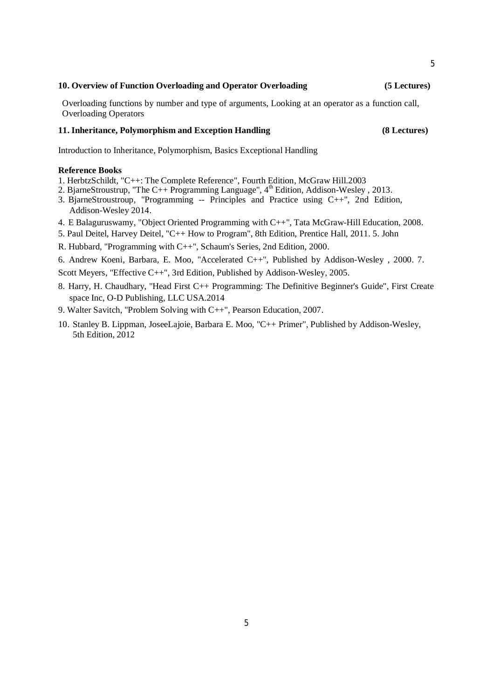### 5

# **10. Overview of Function Overloading and Operator Overloading (5 Lectures)**

Overloading functions by number and type of arguments, Looking at an operator as a function call, Overloading Operators

#### **11. Inheritance, Polymorphism and Exception Handling (8 Lectures)**

Introduction to Inheritance, Polymorphism, Basics Exceptional Handling

### **Reference Books**

- 1. HerbtzSchildt, "C++: The Complete Reference", Fourth Edition, McGraw Hill.2003
- 2. BjarneStroustrup, "The C++ Programming Language",  $4<sup>th</sup>$  Edition, Addison-Wesley, 2013.
- 3. BjarneStroustroup, "Programming -- Principles and Practice using C++", 2nd Edition, Addison-Wesley 2014.
- 4. E Balaguruswamy, "Object Oriented Programming with C++", Tata McGraw-Hill Education, 2008.
- 5. Paul Deitel, Harvey Deitel, "C++ How to Program", 8th Edition, Prentice Hall, 2011. 5. John

R. Hubbard, "Programming with C++", Schaum's Series, 2nd Edition, 2000.

6. Andrew Koeni, Barbara, E. Moo, "Accelerated C++", Published by Addison-Wesley , 2000. 7.

Scott Meyers, "Effective C++", 3rd Edition, Published by Addison-Wesley, 2005.

- 8. Harry, H. Chaudhary, "Head First C++ Programming: The Definitive Beginner's Guide", First Create space Inc, O-D Publishing, LLC USA.2014
- 9. Walter Savitch, "Problem Solving with C++", Pearson Education, 2007.
- 10. Stanley B. Lippman, JoseeLajoie, Barbara E. Moo, "C++ Primer", Published by Addison-Wesley, 5th Edition, 2012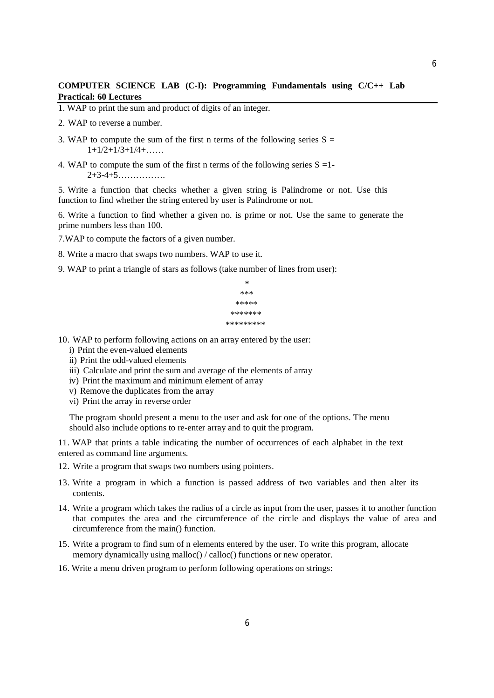# **COMPUTER SCIENCE LAB (C-I): Programming Fundamentals using C/C++ Lab Practical: 60 Lectures**

- 1. WAP to print the sum and product of digits of an integer.
- 2. WAP to reverse a number.
- 3. WAP to compute the sum of the first n terms of the following series  $S =$  $1+1/2+1/3+1/4+\ldots$
- 4. WAP to compute the sum of the first n terms of the following series  $S = 1$ -2+3-4+5…………….

5. Write a function that checks whether a given string is Palindrome or not. Use this function to find whether the string entered by user is Palindrome or not.

6. Write a function to find whether a given no. is prime or not. Use the same to generate the prime numbers less than 100.

7.WAP to compute the factors of a given number.

8. Write a macro that swaps two numbers. WAP to use it.

9. WAP to print a triangle of stars as follows (take number of lines from user):

```
*
    ***
  *****
 *******
*********
```
10. WAP to perform following actions on an array entered by the user:

- i) Print the even-valued elements
- ii) Print the odd-valued elements
- iii) Calculate and print the sum and average of the elements of array
- iv) Print the maximum and minimum element of array
- v) Remove the duplicates from the array
- vi) Print the array in reverse order

The program should present a menu to the user and ask for one of the options. The menu should also include options to re-enter array and to quit the program.

11. WAP that prints a table indicating the number of occurrences of each alphabet in the text entered as command line arguments.

- 12. Write a program that swaps two numbers using pointers.
- 13. Write a program in which a function is passed address of two variables and then alter its contents.
- 14. Write a program which takes the radius of a circle as input from the user, passes it to another function that computes the area and the circumference of the circle and displays the value of area and circumference from the main() function.
- 15. Write a program to find sum of n elements entered by the user. To write this program, allocate memory dynamically using malloc() / calloc() functions or new operator.
- 16. Write a menu driven program to perform following operations on strings: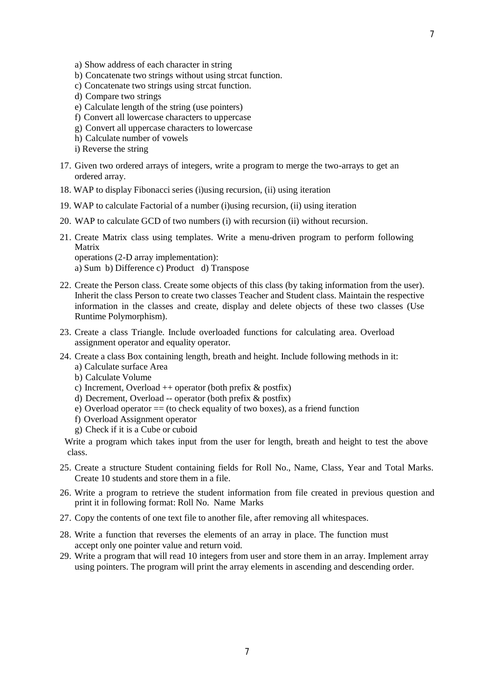- a) Show address of each character in string
- b) Concatenate two strings without using strcat function.
- c) Concatenate two strings using strcat function.
- d) Compare two strings
- e) Calculate length of the string (use pointers)
- f) Convert all lowercase characters to uppercase
- g) Convert all uppercase characters to lowercase
- h) Calculate number of vowels
- i) Reverse the string
- 17. Given two ordered arrays of integers, write a program to merge the two-arrays to get an ordered array.
- 18. WAP to display Fibonacci series (i)using recursion, (ii) using iteration
- 19. WAP to calculate Factorial of a number (i)using recursion, (ii) using iteration
- 20. WAP to calculate GCD of two numbers (i) with recursion (ii) without recursion.
- 21. Create Matrix class using templates. Write a menu-driven program to perform following Matrix operations (2-D array implementation):

a) Sum b) Difference c) Product d) Transpose

- 22. Create the Person class. Create some objects of this class (by taking information from the user). Inherit the class Person to create two classes Teacher and Student class. Maintain the respective information in the classes and create, display and delete objects of these two classes (Use Runtime Polymorphism).
- 23. Create a class Triangle. Include overloaded functions for calculating area. Overload assignment operator and equality operator.
- 24. Create a class Box containing length, breath and height. Include following methods in it:
	- a) Calculate surface Area
	- b) Calculate Volume
	- c) Increment, Overload  $++$  operator (both prefix  $\&$  postfix)
	- d) Decrement, Overload -- operator (both prefix & postfix)
	- e) Overload operator  $=$  (to check equality of two boxes), as a friend function
	- f) Overload Assignment operator
	- g) Check if it is a Cube or cuboid

Write a program which takes input from the user for length, breath and height to test the above class.

- 25. Create a structure Student containing fields for Roll No., Name, Class, Year and Total Marks. Create 10 students and store them in a file.
- 26. Write a program to retrieve the student information from file created in previous question and print it in following format: Roll No. Name Marks
- 27. Copy the contents of one text file to another file, after removing all whitespaces.
- 28. Write a function that reverses the elements of an array in place. The function must accept only one pointer value and return void.
- 29. Write a program that will read 10 integers from user and store them in an array. Implement array using pointers. The program will print the array elements in ascending and descending order.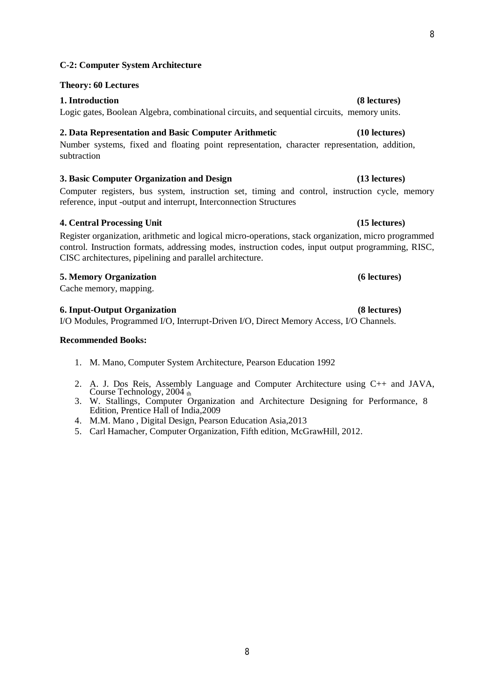# **C-2: Computer System Architecture**

### **Theory: 60 Lectures**

## **1. Introduction (8 lectures)**

Logic gates, Boolean Algebra, combinational circuits, and sequential circuits, memory units.

# **2. Data Representation and Basic Computer Arithmetic (10 lectures)**

Number systems, fixed and floating point representation, character representation, addition, subtraction

# **3. Basic Computer Organization and Design (13 lectures)**

Computer registers, bus system, instruction set, timing and control, instruction cycle, memory reference, input -output and interrupt, Interconnection Structures

# **4. Central Processing Unit (15 lectures)**

Register organization, arithmetic and logical micro-operations, stack organization, micro programmed control. Instruction formats, addressing modes, instruction codes, input output programming, RISC, CISC architectures, pipelining and parallel architecture.

# **5. Memory Organization (6 lectures)**

Cache memory, mapping.

### **6. Input-Output Organization (8 lectures)**

I/O Modules, Programmed I/O, Interrupt-Driven I/O, Direct Memory Access, I/O Channels.

## **Recommended Books:**

- 1. M. Mano, Computer System Architecture, Pearson Education 1992
- 2. A. J. Dos Reis, Assembly Language and Computer Architecture using C++ and JAVA, Course Technology, 2004  $\frac{1}{th}$
- 3. W. Stallings, Computer Organization and Architecture Designing for Performance, 8 Edition, Prentice Hall of India,2009
- 4. M.M. Mano , Digital Design, Pearson Education Asia,2013
- 5. Carl Hamacher, Computer Organization, Fifth edition, McGrawHill, 2012.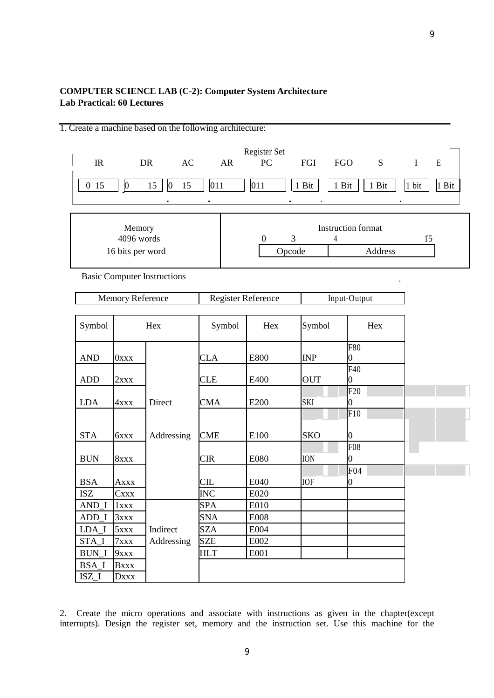# **COMPUTER SCIENCE LAB (C-2): Computer System Architecture Lab Practical: 60 Lectures**

|                             |                                          | 1. Create a machine based on the following architecture: |            |                               |            |                                                       |                            |
|-----------------------------|------------------------------------------|----------------------------------------------------------|------------|-------------------------------|------------|-------------------------------------------------------|----------------------------|
| $_{\rm IR}$                 |                                          | DR<br>AC                                                 | AR         | Register Set<br>PC            | FGI        | <b>FGO</b><br>S                                       | $\mathbf E$<br>$\mathbf I$ |
| 015                         | $\vert 0 \vert$                          | $\vert 0 \vert$<br>15<br>15                              | 011        | 011                           | $1$ Bit    | 1 Bit<br>1 Bit                                        | 1 bit<br>1 Bit             |
|                             |                                          |                                                          |            |                               |            |                                                       |                            |
|                             | Memory<br>4096 words<br>16 bits per word |                                                          |            | 3<br>$\overline{0}$<br>Opcode | 4          | Instruction format<br>Address                         | 15                         |
|                             |                                          |                                                          |            |                               |            |                                                       |                            |
|                             |                                          | <b>Basic Computer Instructions</b>                       |            |                               |            |                                                       |                            |
|                             | Memory Reference                         |                                                          |            | Register Reference            |            | Input-Output                                          |                            |
|                             |                                          |                                                          |            |                               |            |                                                       |                            |
| Symbol                      |                                          | Hex                                                      | Symbol     | Hex                           | Symbol     | Hex                                                   |                            |
| <b>AND</b>                  | $0$ <b>xxx</b>                           |                                                          | <b>CLA</b> | E800                          | INP        | <b>F80</b><br>$\overline{0}$                          |                            |
| <b>ADD</b>                  | 2xxx                                     |                                                          | <b>CLE</b> | E400                          | <b>OUT</b> | F40<br>0                                              |                            |
| <b>LDA</b>                  | 4xxx                                     | Direct                                                   | <b>CMA</b> | E200                          | SKI        | F <sub>20</sub><br>$\overline{0}$<br>$\overline{F10}$ |                            |
| <b>STA</b>                  | 6xxx                                     | Addressing                                               | <b>CME</b> | E100                          | <b>SKO</b> | 0                                                     |                            |
| <b>BUN</b>                  | 8xxx                                     |                                                          | <b>CIR</b> | <b>E080</b>                   | <b>ION</b> | <b>F08</b><br>$\overline{0}$                          |                            |
| <b>BSA</b>                  | <b>Axxx</b>                              |                                                          | CL         | E040                          | <b>IOF</b> | F04<br>$\overline{0}$                                 |                            |
| $\ensuremath{\mathsf{ISZ}}$ | <b>Cxxx</b>                              |                                                          | <b>INC</b> | E020                          |            |                                                       |                            |
| AND_I                       | 1xxx                                     |                                                          | <b>SPA</b> | E010                          |            |                                                       |                            |
| $ADD_I$                     | 3xxx                                     |                                                          | <b>SNA</b> | <b>E008</b>                   |            |                                                       |                            |
| $LDA_I$                     | 5xxx                                     | Indirect                                                 | <b>SZA</b> | E004                          |            |                                                       |                            |
| STA_I                       | 7xxx                                     | Addressing                                               | <b>SZE</b> | E002                          |            |                                                       |                            |
| <b>BUN_I</b>                | <b>9xxx</b>                              |                                                          | <b>HLT</b> | E001                          |            |                                                       |                            |
| <b>BSA_I</b>                | <b>Bxxx</b>                              |                                                          |            |                               |            |                                                       |                            |
| $ISZ_I$                     | <b>Dxxx</b>                              |                                                          |            |                               |            |                                                       |                            |

2. Create the micro operations and associate with instructions as given in the chapter(except interrupts). Design the register set, memory and the instruction set. Use this machine for the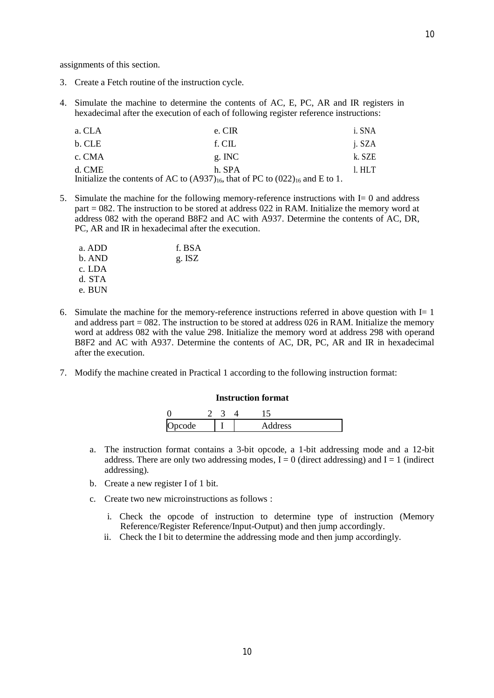- 3. Create a Fetch routine of the instruction cycle.
- 4. Simulate the machine to determine the contents of AC, E, PC, AR and IR registers in hexadecimal after the execution of each of following register reference instructions:

| a. CLA | e. CIR                                                                                  | i. SNA |
|--------|-----------------------------------------------------------------------------------------|--------|
| b. CLE | f. CIL                                                                                  | j. SZA |
| c. CMA | $g$ . INC                                                                               | k. SZE |
| d. CME | h. SPA                                                                                  | 1. HLT |
|        | Initialize the contents of AC to $(A937)_{16}$ , that of PC to $(022)_{16}$ and E to 1. |        |

5. Simulate the machine for the following memory-reference instructions with I= 0 and address part = 082. The instruction to be stored at address 022 in RAM. Initialize the memory word at address 082 with the operand B8F2 and AC with A937. Determine the contents of AC, DR, PC, AR and IR in hexadecimal after the execution.

| a. ADD | f. BSA |
|--------|--------|
| b. AND | g. ISZ |
| c. LDA |        |
| d. STA |        |
| e. BUN |        |

- 6. Simulate the machine for the memory-reference instructions referred in above question with  $I=1$ and address part  $= 082$ . The instruction to be stored at address 026 in RAM. Initialize the memory word at address 082 with the value 298. Initialize the memory word at address 298 with operand B8F2 and AC with A937. Determine the contents of AC, DR, PC, AR and IR in hexadecimal after the execution.
- 7. Modify the machine created in Practical 1 according to the following instruction format:

#### **Instruction format**

| code<br>ັ<br>້ |  | ress<br>$\sim$ |
|----------------|--|----------------|

- a. The instruction format contains a 3-bit opcode, a 1-bit addressing mode and a 12-bit address. There are only two addressing modes,  $I = 0$  (direct addressing) and  $I = 1$  (indirect addressing).
- b. Create a new register I of 1 bit.
- c. Create two new microinstructions as follows :
	- i. Check the opcode of instruction to determine type of instruction (Memory Reference/Register Reference/Input-Output) and then jump accordingly.
	- ii. Check the I bit to determine the addressing mode and then jump accordingly.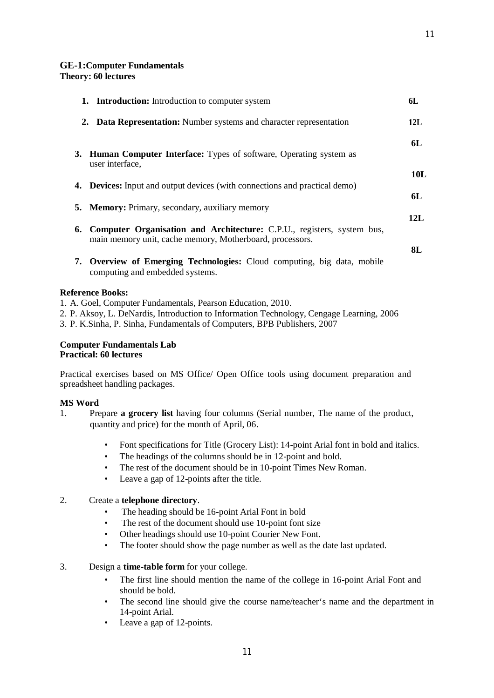### **GE-1:Computer Fundamentals**

**Theory: 60 lectures**

| <b>1.</b> Introduction: Introduction to computer system                                                                               | 6L               |
|---------------------------------------------------------------------------------------------------------------------------------------|------------------|
| 2. Data Representation: Number systems and character representation                                                                   | 12L              |
| <b>3. Human Computer Interface:</b> Types of software, Operating system as<br>user interface,                                         | 6L               |
| <b>4. Devices:</b> Input and output devices (with connections and practical demo)                                                     | <b>10L</b><br>6L |
| 5. Memory: Primary, secondary, auxiliary memory                                                                                       | 12L              |
| 6. Computer Organisation and Architecture: C.P.U., registers, system bus,<br>main memory unit, cache memory, Motherboard, processors. | 8L               |
| 7. Overview of Emerging Technologies: Cloud computing, big data, mobile<br>computing and embedded systems.                            |                  |
| <b>Reference Books:</b>                                                                                                               |                  |

- 1. A. Goel, Computer Fundamentals, Pearson Education, 2010.
- 2. P. Aksoy, L. DeNardis, Introduction to Information Technology, Cengage Learning, 2006

3. P. K.Sinha, P. Sinha, Fundamentals of Computers, BPB Publishers, 2007

# **Computer Fundamentals Lab Practical: 60 lectures**

Practical exercises based on MS Office/ Open Office tools using document preparation and spreadsheet handling packages.

# **MS Word**

- 1. Prepare **a grocery list** having four columns (Serial number, The name of the product, quantity and price) for the month of April, 06.
	- Font specifications for Title (Grocery List): 14-point Arial font in bold and italics.
	- The headings of the columns should be in 12-point and bold.
	- The rest of the document should be in 10-point Times New Roman.
	- Leave a gap of 12-points after the title.

# 2. Create a **telephone directory**.

- The heading should be 16-point Arial Font in bold
- The rest of the document should use 10-point font size
- Other headings should use 10-point Courier New Font.
- The footer should show the page number as well as the date last updated.

## 3. Design a **time-table form** for your college.

- The first line should mention the name of the college in 16-point Arial Font and should be bold.
- The second line should give the course name/teacher's name and the department in 14-point Arial.
- Leave a gap of 12-points.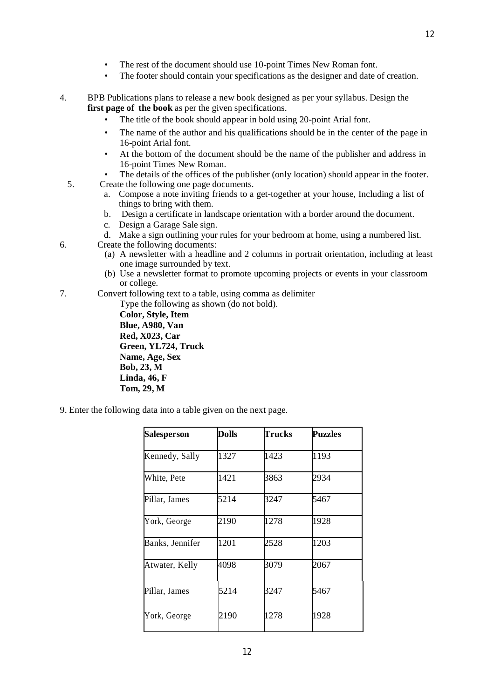- The rest of the document should use 10-point Times New Roman font.
- The footer should contain your specifications as the designer and date of creation.
- 4. BPB Publications plans to release a new book designed as per your syllabus. Design the **first page of the book** as per the given specifications.
	- The title of the book should appear in bold using 20-point Arial font.
	- The name of the author and his qualifications should be in the center of the page in 16-point Arial font.
	- At the bottom of the document should be the name of the publisher and address in 16-point Times New Roman.
	- The details of the offices of the publisher (only location) should appear in the footer.
	- 5. Create the following one page documents.
		- a. Compose a note inviting friends to a get-together at your house, Including a list of things to bring with them.
		- b. Design a certificate in landscape orientation with a border around the document.
		- c. Design a Garage Sale sign.
		- d. Make a sign outlining your rules for your bedroom at home, using a numbered list.
- 6. Create the following documents:

**Linda, 46, F Tom, 29, M**

- (a) A newsletter with a headline and 2 columns in portrait orientation, including at least one image surrounded by text.
- (b) Use a newsletter format to promote upcoming projects or events in your classroom or college.
- 7. Convert following text to a table, using comma as delimiter

Type the following as shown (do not bold). **Color, Style, Item Blue, A980, Van Red, X023, Car Green, YL724, Truck Name, Age, Sex Bob, 23, M**

9. Enter the following data into a table given on the next page.

| <b>Salesperson</b> | Dolls | <b>Trucks</b> | <b>Puzzles</b> |
|--------------------|-------|---------------|----------------|
| Kennedy, Sally     | 1327  | 1423          | 1193           |
| White, Pete        | 1421  | 3863          | 2934           |
| Pillar, James      | 5214  | 3247          | 5467           |
| York, George       | 2190  | 1278          | 1928           |
| Banks, Jennifer    | 1201  | 2528          | 1203           |
| Atwater, Kelly     | 4098  | 3079          | 2067           |
| Pillar, James      | 5214  | 3247          | 5467           |
| York, George       | 2190  | 1278          | 1928           |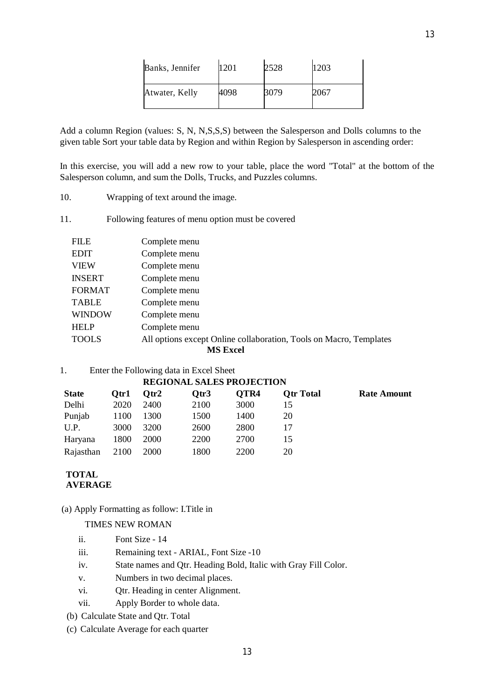| Banks, Jennifer | 1201 | 2528 | 1203 |
|-----------------|------|------|------|
| Atwater, Kelly  | 4098 | 3079 | 2067 |

Add a column Region (values: S, N, N,S,S,S) between the Salesperson and Dolls columns to the given table Sort your table data by Region and within Region by Salesperson in ascending order:

In this exercise, you will add a new row to your table, place the word "Total" at the bottom of the Salesperson column, and sum the Dolls, Trucks, and Puzzles columns.

- 10. Wrapping of text around the image.
- 11. Following features of menu option must be covered

| <b>FILE</b>     | Complete menu                                                      |  |  |  |  |
|-----------------|--------------------------------------------------------------------|--|--|--|--|
| <b>EDIT</b>     | Complete menu                                                      |  |  |  |  |
| <b>VIEW</b>     | Complete menu                                                      |  |  |  |  |
| <b>INSERT</b>   | Complete menu                                                      |  |  |  |  |
| <b>FORMAT</b>   | Complete menu                                                      |  |  |  |  |
| <b>TABLE</b>    | Complete menu                                                      |  |  |  |  |
| <b>WINDOW</b>   | Complete menu                                                      |  |  |  |  |
| <b>HELP</b>     | Complete menu                                                      |  |  |  |  |
| <b>TOOLS</b>    | All options except Online collaboration, Tools on Macro, Templates |  |  |  |  |
| <b>MS Excel</b> |                                                                    |  |  |  |  |

1. Enter the Following data in Excel Sheet

### **REGIONAL SALES PROJECTION**

| <b>State</b> | Otr1 | Otr2        | Otr3 | OTR4 | <b>Otr Total</b> | <b>Rate Amount</b> |
|--------------|------|-------------|------|------|------------------|--------------------|
| Delhi        | 2020 | 2400        | 2100 | 3000 | 15               |                    |
| Punjab       | 1100 | 1300        | 1500 | 1400 | 20               |                    |
| U.P.         | 3000 | 3200        | 2600 | 2800 |                  |                    |
| Haryana      | 1800 | <b>2000</b> | 2200 | 2700 |                  |                    |
| Rajasthan    | 2100 | <b>2000</b> | 1800 | 2200 | 20               |                    |

# **TOTAL AVERAGE**

(a) Apply Formatting as follow: I.Title in

# TIMES NEW ROMAN

- ii. Font Size 14
- iii. Remaining text ARIAL, Font Size -10
- iv. State names and Qtr. Heading Bold, Italic with Gray Fill Color.
- v. Numbers in two decimal places.
- vi. Qtr. Heading in center Alignment.
- vii. Apply Border to whole data.
- (b) Calculate State and Qtr. Total
- (c) Calculate Average for each quarter

13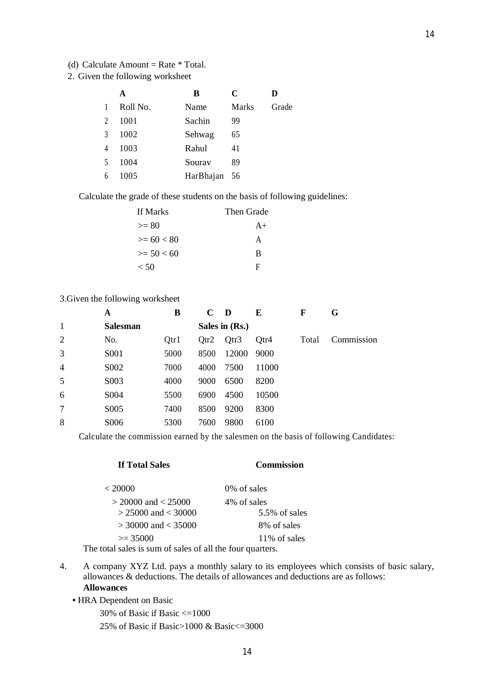- (d) Calculate Amount = Rate  $*$  Total.
- 2. Given the following worksheet

|                | A        | B            | C     |       |
|----------------|----------|--------------|-------|-------|
|                | Roll No. | Name         | Marks | Grade |
| $\overline{2}$ | 1001     | Sachin       | 99    |       |
| $\mathcal{R}$  | 1002     | Sehwag       | 65    |       |
| 4              | 1003     | Rahul        | 41    |       |
| $\sim$         | 1004     | Sourav       | 89    |       |
| 6              | 1005     | HarBhajan 56 |       |       |

Calculate the grade of these students on the basis of following guidelines:

| If Marks     | Then Grade |
|--------------|------------|
| $>= 80$      | $A+$       |
| $>= 60 < 80$ | A          |
| $>= 50 < 60$ | B          |
| < 50         | Ħ          |

3.Given the following worksheet

|                | A                | В    | C    | D              | E     | F     | G          |
|----------------|------------------|------|------|----------------|-------|-------|------------|
| 1              | <b>Salesman</b>  |      |      | Sales in (Rs.) |       |       |            |
| 2              | No.              | Qtr1 | Qtr2 | Qtr3           | Qtr4  | Total | Commission |
| 3              | S <sub>001</sub> | 5000 | 8500 | 12000          | 9000  |       |            |
| $\overline{4}$ | S002             | 7000 | 4000 | 7500           | 11000 |       |            |
| 5              | S003             | 4000 | 9000 | 6500           | 8200  |       |            |
| 6              | S <sub>004</sub> | 5500 | 6900 | 4500           | 10500 |       |            |
| 7              | S <sub>005</sub> | 7400 | 8500 | 9200           | 8300  |       |            |
| 8              | S006             | 5300 | 7600 | 9800           | 6100  |       |            |

Calculate the commission earned by the salesmen on the basis of following Candidates:

# **If Total Sales Commission**

# $\langle 20000 \rangle$  0% of sales  $>$  20000 and  $<$  25000 4% of sales<br> $>$  25000 and  $<$  30000 5.5% of sales  $> 25000$  and  $< 30000$  $> 30000$  and  $< 35000$  8% of sales  $>= 35000$  11% of sales

The total sales is sum of sales of all the four quarters.

4. A company XYZ Ltd. pays a monthly salary to its employees which consists of basic salary, allowances & deductions. The details of allowances and deductions are as follows: **Allowances**

**•** HRA Dependent on Basic

30% of Basic if Basic  $\leq 1000$ 

25% of Basic if Basic>1000 & Basic<=3000

14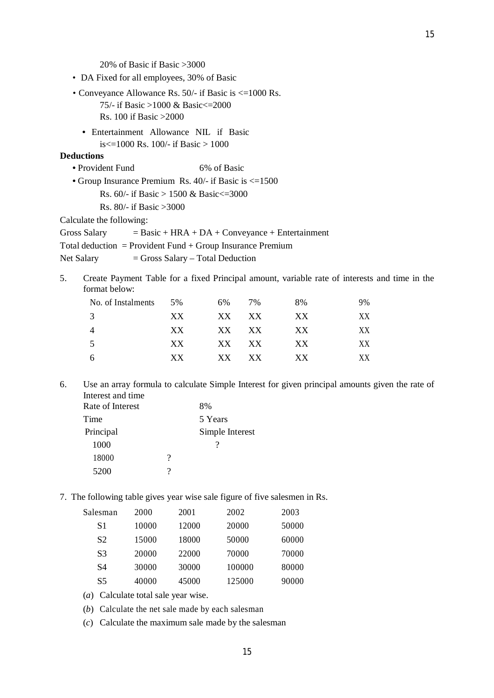20% of Basic if Basic >3000

- DA Fixed for all employees, 30% of Basic
- Conveyance Allowance Rs. 50/- if Basic is <=1000 Rs. 75/- if Basic >1000 & Basic<=2000 Rs. 100 if Basic >2000
	- Entertainment Allowance NIL if Basic is $\leq$ =1000 Rs. 100/- if Basic > 1000

## **Deductions**

- Provident Fund 6% of Basic
- Group Insurance Premium Rs. 40/- if Basic is <=1500
	- Rs. 60/- if Basic > 1500 & Basic<=3000
	- Rs. 80/- if Basic >3000

Calculate the following:

Gross Salary  $=$  Basic + HRA + DA + Conveyance + Entertainment

- Total deduction = Provident Fund + Group Insurance Premium
- Net Salary  $=$  Gross Salary Total Deduction
- 5. Create Payment Table for a fixed Principal amount, variable rate of interests and time in the format below:

| No. of Instalments 5% |     | 6% 7% |       | 8% | 9%  |
|-----------------------|-----|-------|-------|----|-----|
| 3                     | XX. |       | XX XX | XX | XX. |
| 4                     | XX. |       | XX XX | XX | XX. |
| 5                     | XX. |       | XX XX | XX | XX. |
| 6                     | XX  |       | XX XX | XX | XX. |

6. Use an array formula to calculate Simple Interest for given principal amounts given the rate of Interest and time

| Rate of Interest |                     | 8%              |
|------------------|---------------------|-----------------|
| Time             |                     | 5 Years         |
| Principal        |                     | Simple Interest |
| 1000             |                     |                 |
| 18000            | $\boldsymbol{\eta}$ |                 |
| 5200             | 9                   |                 |

7. The following table gives year wise sale figure of five salesmen in Rs.

| Salesman       | 2000  | 2001  | 2002   | 2003  |
|----------------|-------|-------|--------|-------|
| S1             | 10000 | 12000 | 20000  | 50000 |
| S <sub>2</sub> | 15000 | 18000 | 50000  | 60000 |
| S3             | 20000 | 22000 | 70000  | 70000 |
| S4             | 30000 | 30000 | 100000 | 80000 |
| S5             | 40000 | 45000 | 125000 | 90000 |
|                |       |       |        |       |

- (*a*) Calculate total sale year wise.
- (*b*) Calculate the net sale made by each salesman

(*c*) Calculate the maximum sale made by the salesman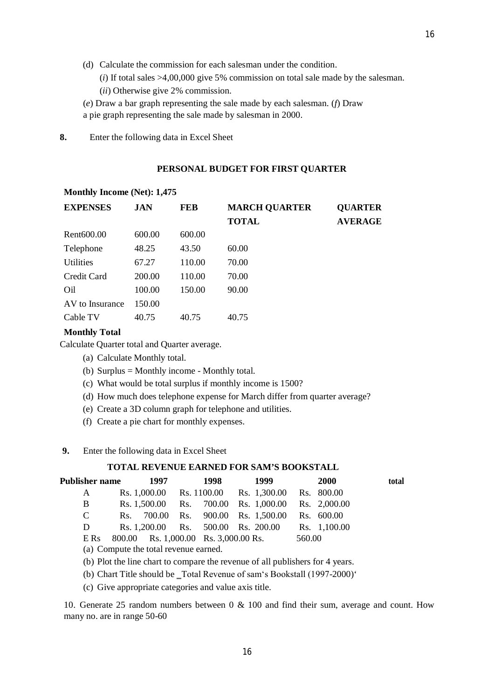- (d) Calculate the commission for each salesman under the condition.
	- (*i*) If total sales >4,00,000 give 5% commission on total sale made by the salesman.
	- (*ii*) Otherwise give 2% commission.
- (*e*) Draw a bar graph representing the sale made by each salesman. (*f*) Draw a pie graph representing the sale made by salesman in 2000.
- **8.** Enter the following data in Excel Sheet

## **PERSONAL BUDGET FOR FIRST QUARTER**

| <b>EXPENSES</b>        | <b>JAN</b> | <b>FEB</b> | <b>MARCH QUARTER</b><br><b>TOTAL</b> | <b>QUARTER</b><br><b>AVERAGE</b> |
|------------------------|------------|------------|--------------------------------------|----------------------------------|
| Rent <sub>600.00</sub> | 600.00     | 600.00     |                                      |                                  |
| Telephone              | 48.25      | 43.50      | 60.00                                |                                  |
| <b>Utilities</b>       | 67.27      | 110.00     | 70.00                                |                                  |
| Credit Card            | 200.00     | 110.00     | 70.00                                |                                  |
| Oil                    | 100.00     | 150.00     | 90.00                                |                                  |
| AV to Insurance        | 150.00     |            |                                      |                                  |
| Cable TV               | 40.75      | 40.75      | 40.75                                |                                  |

### **Monthly Income (Net): 1,475**

### **Monthly Total**

Calculate Quarter total and Quarter average.

- (a) Calculate Monthly total.
- (b) Surplus = Monthly income Monthly total.
- (c) What would be total surplus if monthly income is 1500?
- (d) How much does telephone expense for March differ from quarter average?
- (e) Create a 3D column graph for telephone and utilities.
- (f) Create a pie chart for monthly expenses.
- **9.** Enter the following data in Excel Sheet

#### **TOTAL REVENUE EARNED FOR SAM'S BOOKSTALL**

| Publisher name | 1997                                  | 1998 | 1999                                              |        | <b>2000</b>  | total |
|----------------|---------------------------------------|------|---------------------------------------------------|--------|--------------|-------|
| A              |                                       |      | Rs. 1,000.00 Rs. 1100.00 Rs. 1,300.00 Rs. 800.00  |        |              |       |
| B              |                                       |      | Rs. 1,500.00 Rs. 700.00 Rs. 1,000.00 Rs. 2,000.00 |        |              |       |
| $\mathbf{C}$   |                                       |      | Rs. 700.00 Rs. 900.00 Rs. 1,500.00 Rs. 600.00     |        |              |       |
| D              | Rs. 1,200.00 Rs. 500.00 Rs. 200.00    |      |                                                   |        | Rs. 1,100.00 |       |
| E Rs           | 800.00 Rs. 1,000.00 Rs. 3,000.00 Rs.  |      |                                                   | 560.00 |              |       |
|                | (a) Compute the total revenue earned. |      |                                                   |        |              |       |

- (b) Plot the line chart to compare the revenue of all publishers for 4 years.
- (b) Chart Title should be \_Total Revenue of sam's Bookstall (1997-2000)'
- (c) Give appropriate categories and value axis title.

10. Generate 25 random numbers between 0 & 100 and find their sum, average and count. How many no. are in range 50-60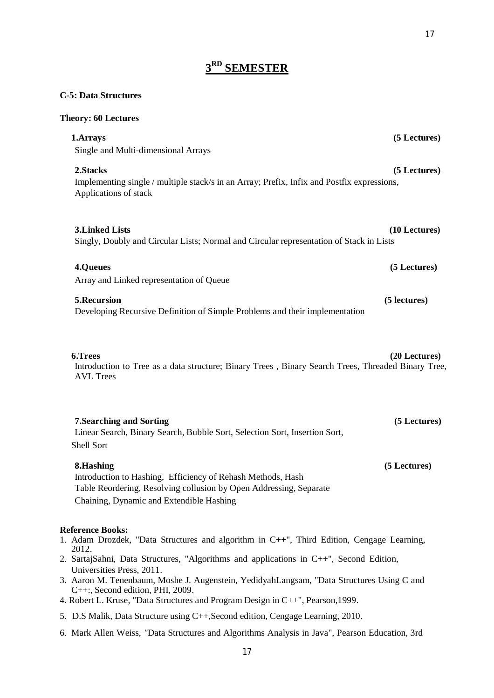# **3 RD SEMESTER**

# **C-5: Data Structures**

| <b>Theory: 60 Lectures</b>                                                                                                                                                                 |               |
|--------------------------------------------------------------------------------------------------------------------------------------------------------------------------------------------|---------------|
| 1.Arrays<br>Single and Multi-dimensional Arrays                                                                                                                                            | (5 Lectures)  |
| 2.Stacks<br>Implementing single / multiple stack/s in an Array; Prefix, Infix and Postfix expressions,<br>Applications of stack                                                            | (5 Lectures)  |
| <b>3.Linked Lists</b><br>Singly, Doubly and Circular Lists; Normal and Circular representation of Stack in Lists                                                                           | (10 Lectures) |
| 4.Queues<br>Array and Linked representation of Queue                                                                                                                                       | (5 Lectures)  |
| 5.Recursion<br>Developing Recursive Definition of Simple Problems and their implementation                                                                                                 | (5 lectures)  |
| 6.Trees<br>Introduction to Tree as a data structure; Binary Trees, Binary Search Trees, Threaded Binary Tree,<br><b>AVL</b> Trees                                                          | (20 Lectures) |
| <b>7.Searching and Sorting</b><br>Linear Search, Binary Search, Bubble Sort, Selection Sort, Insertion Sort,<br>Shell Sort                                                                 | (5 Lectures)  |
| 8.Hashing<br>Introduction to Hashing, Efficiency of Rehash Methods, Hash<br>Table Reordering, Resolving collusion by Open Addressing, Separate<br>Chaining, Dynamic and Extendible Hashing | (5 Lectures)  |

#### **Reference Books:**

- 1. Adam Drozdek, "Data Structures and algorithm in C++"*,* Third Edition, Cengage Learning, 2012.
- 2. SartajSahni, Data Structures, "Algorithms and applications in C++", Second Edition, Universities Press, 2011.
- 3. Aaron M. Tenenbaum, Moshe J. Augenstein, YedidyahLangsam, "Data Structures Using C and C++:, Second edition, PHI, 2009.
- 4. Robert L. Kruse, "Data Structures and Program Design in C++", Pearson,1999.
- 5. D.S Malik, Data Structure using C++,Second edition, Cengage Learning, 2010.
- 6. Mark Allen Weiss, *"*Data Structures and Algorithms Analysis in Java"*,* Pearson Education, 3rd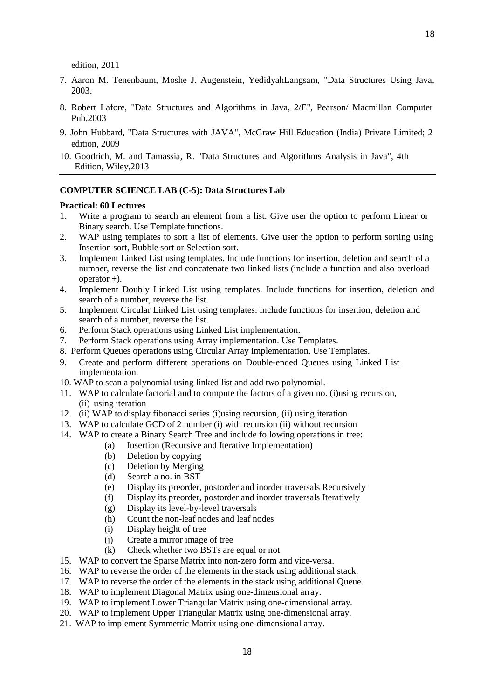edition, 2011

- 7. Aaron M. Tenenbaum, Moshe J. Augenstein, YedidyahLangsam, "Data Structures Using Java, 2003.
- 8. Robert Lafore, "Data Structures and Algorithms in Java, 2/E", Pearson/ Macmillan Computer Pub,2003
- 9. John Hubbard, "Data Structures with JAVA", McGraw Hill Education (India) Private Limited; 2 edition, 2009
- 10. Goodrich, M. and Tamassia, R. "Data Structures and Algorithms Analysis in Java", 4th Edition, Wiley,2013

#### **COMPUTER SCIENCE LAB (C-5): Data Structures Lab**

### **Practical: 60 Lectures**

- 1. Write a program to search an element from a list. Give user the option to perform Linear or Binary search. Use Template functions.
- 2. WAP using templates to sort a list of elements. Give user the option to perform sorting using Insertion sort, Bubble sort or Selection sort.
- 3. Implement Linked List using templates. Include functions for insertion, deletion and search of a number, reverse the list and concatenate two linked lists (include a function and also overload operator +).
- 4. Implement Doubly Linked List using templates. Include functions for insertion, deletion and search of a number, reverse the list.
- 5. Implement Circular Linked List using templates. Include functions for insertion, deletion and search of a number, reverse the list.
- 6. Perform Stack operations using Linked List implementation.
- 7. Perform Stack operations using Array implementation. Use Templates.
- 8. Perform Queues operations using Circular Array implementation. Use Templates.
- 9. Create and perform different operations on Double-ended Queues using Linked List implementation.
- 10. WAP to scan a polynomial using linked list and add two polynomial.
- 11. WAP to calculate factorial and to compute the factors of a given no. (i)using recursion, (ii) using iteration
- 12. (ii) WAP to display fibonacci series (i)using recursion, (ii) using iteration
- 13. WAP to calculate GCD of 2 number (i) with recursion (ii) without recursion
- 14. WAP to create a Binary Search Tree and include following operations in tree:
	- (a) Insertion (Recursive and Iterative Implementation)
	- (b) Deletion by copying
	- (c) Deletion by Merging
	- (d) Search a no. in BST
	- (e) Display its preorder, postorder and inorder traversals Recursively
	- (f) Display its preorder, postorder and inorder traversals Iteratively
	- (g) Display its level-by-level traversals
	- (h) Count the non-leaf nodes and leaf nodes
	- (i) Display height of tree
	- (j) Create a mirror image of tree
	- (k) Check whether two BSTs are equal or not
- 15. WAP to convert the Sparse Matrix into non-zero form and vice-versa.
- 16. WAP to reverse the order of the elements in the stack using additional stack.
- 17. WAP to reverse the order of the elements in the stack using additional Queue.
- 18. WAP to implement Diagonal Matrix using one-dimensional array.
- 19. WAP to implement Lower Triangular Matrix using one-dimensional array.
- 20. WAP to implement Upper Triangular Matrix using one-dimensional array.
- 21. WAP to implement Symmetric Matrix using one-dimensional array.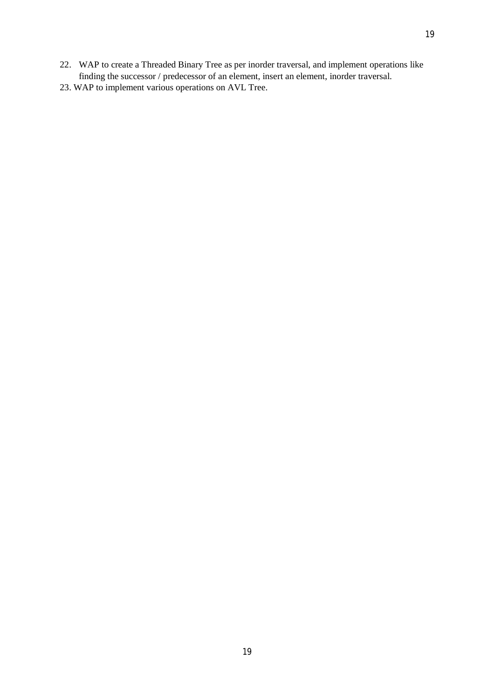- 22. WAP to create a Threaded Binary Tree as per inorder traversal, and implement operations like finding the successor / predecessor of an element, insert an element, inorder traversal.
- 23. WAP to implement various operations on AVL Tree.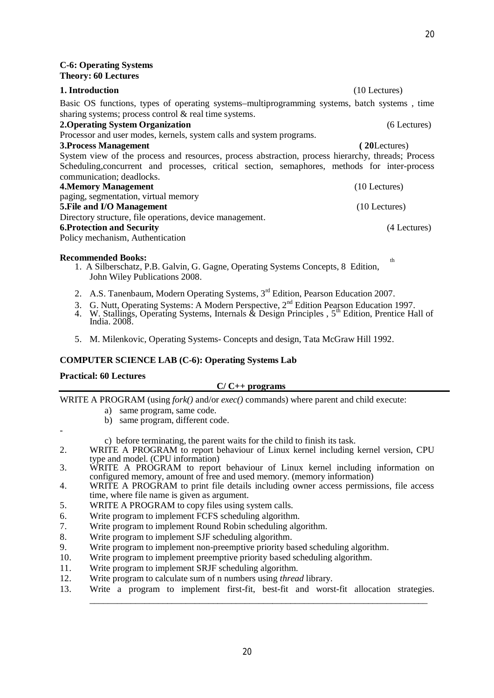| 1. Introduction                                                                                    | $(10$ Lectures) |
|----------------------------------------------------------------------------------------------------|-----------------|
| Basic OS functions, types of operating systems–multiprogramming systems, batch systems, time       |                 |
| sharing systems; process control $&$ real time systems.                                            |                 |
| 2. Operating System Organization                                                                   | (6 Lectures)    |
| Processor and user modes, kernels, system calls and system programs.                               |                 |
| <b>3. Process Management</b>                                                                       | $(20$ Lectures) |
| System view of the process and resources, process abstraction, process hierarchy, threads; Process |                 |
| Scheduling, concurrent and processes, critical section, semaphores, methods for inter-process      |                 |
| communication; deadlocks.                                                                          |                 |
| <b>4. Memory Management</b>                                                                        | $(10$ Lectures) |
| paging, segmentation, virtual memory                                                               |                 |
| 5. File and I/O Management                                                                         | $(10$ Lectures) |
| Directory structure, file operations, device management.                                           |                 |
| <b>6. Protection and Security</b>                                                                  | (4 Lectures)    |
| Policy mechanism, Authentication                                                                   |                 |
|                                                                                                    |                 |

### **Recommended Books:** the commended Books: the commended Books: the commended Books: the commended Books: the commended Books: the commended Books: the commended Books: the commended Books: the commended Books: the commende

- 1. A Silberschatz, P.B. Galvin, G. Gagne, Operating Systems Concepts, 8 Edition, John Wiley Publications 2008.
- 2. A.S. Tanenbaum, Modern Operating Systems, 3<sup>rd</sup> Edition, Pearson Education 2007.
- 3. G. Nutt, Operating Systems: A Modern Perspective, 2<sup>nd</sup> Edition Pearson Education 1997.
- 4. W. Stallings, Operating Systems, Internals & Design Principles, 5<sup>th</sup> Edition, Prentice Hall of India. 2008.
- 5. M. Milenkovic, Operating Systems- Concepts and design, Tata McGraw Hill 1992.

# **COMPUTER SCIENCE LAB (C-6): Operating Systems Lab**

### **Practical: 60 Lectures**

-

# **C/ C++ programs**

WRITE A PROGRAM (using *fork()* and/or *exec()* commands) where parent and child execute:

- a) same program, same code.
- b) same program, different code.
- c) before terminating, the parent waits for the child to finish its task.
- 2. WRITE A PROGRAM to report behaviour of Linux kernel including kernel version, CPU type and model. (CPU information)
- 3. WRITE A PROGRAM to report behaviour of Linux kernel including information on configured memory, amount of free and used memory. (memory information)
- 4. WRITE A PROGRAM to print file details including owner access permissions, file access time, where file name is given as argument.
- 5. WRITE A PROGRAM to copy files using system calls.
- 6. Write program to implement FCFS scheduling algorithm.
- 7. Write program to implement Round Robin scheduling algorithm.
- 8. Write program to implement SJF scheduling algorithm.
- 9. Write program to implement non-preemptive priority based scheduling algorithm.
- 10. Write program to implement preemptive priority based scheduling algorithm.
- 11. Write program to implement SRJF scheduling algorithm.
- 12. Write program to calculate sum of n numbers using *thread* library.
- 13. Write a program to implement first-fit, best-fit and worst-fit allocation strategies.

\_\_\_\_\_\_\_\_\_\_\_\_\_\_\_\_\_\_\_\_\_\_\_\_\_\_\_\_\_\_\_\_\_\_\_\_\_\_\_\_\_\_\_\_\_\_\_\_\_\_\_\_\_\_\_\_\_\_\_\_\_\_\_\_\_\_\_\_\_\_\_\_\_\_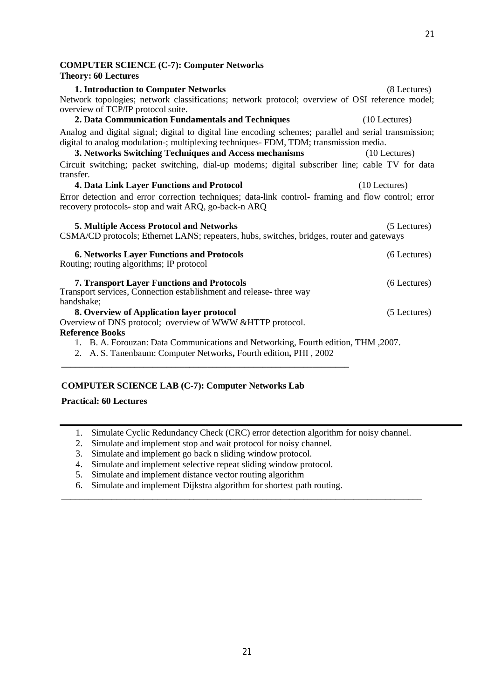# **COMPUTER SCIENCE (C-7): Computer Networks**

# **Theory: 60 Lectures**

| <b>1. Introduction to Computer Networks</b>                                                                                                                                                     | (8 Lectures)    |
|-------------------------------------------------------------------------------------------------------------------------------------------------------------------------------------------------|-----------------|
| Network topologies; network classifications; network protocol; overview of OSI reference model;                                                                                                 |                 |
| overview of TCP/IP protocol suite.                                                                                                                                                              |                 |
| 2. Data Communication Fundamentals and Techniques                                                                                                                                               | $(10$ Lectures) |
| Analog and digital signal; digital to digital line encoding schemes; parallel and serial transmission;<br>digital to analog modulation-; multiplexing techniques- FDM, TDM; transmission media. |                 |
| 3. Networks Switching Techniques and Access mechanisms                                                                                                                                          | $(10$ Lectures) |
| Circuit switching; packet switching, dial-up modems; digital subscriber line; cable TV for data<br>transfer.                                                                                    |                 |
| <b>4. Data Link Layer Functions and Protocol</b>                                                                                                                                                | $(10$ Lectures) |
| Error detection and error correction techniques; data-link control- framing and flow control; error<br>recovery protocols- stop and wait ARQ, go-back-n ARQ                                     |                 |
| 5. Multiple Access Protocol and Networks<br>CSMA/CD protocols; Ethernet LANS; repeaters, hubs, switches, bridges, router and gateways                                                           | (5 Lectures)    |
| <b>6. Networks Layer Functions and Protocols</b><br>Routing; routing algorithms; IP protocol                                                                                                    | (6 Lectures)    |
| <b>7. Transport Layer Functions and Protocols</b><br>Transport services, Connection establishment and release- three way<br>handshake;                                                          | (6 Lectures)    |
| 8. Overview of Application layer protocol                                                                                                                                                       | (5 Lectures)    |
| Overview of DNS protocol; overview of WWW & HTTP protocol.                                                                                                                                      |                 |
| <b>Reference Books</b>                                                                                                                                                                          |                 |
| 1. B. A. Forouzan: Data Communications and Networking, Fourth edition, THM , 2007.                                                                                                              |                 |
| A. S. Tanenbaum: Computer Networks, Fourth edition, PHI, 2002<br>2.                                                                                                                             |                 |
|                                                                                                                                                                                                 |                 |

# **COMPUTER SCIENCE LAB (C-7): Computer Networks Lab**

# **Practical: 60 Lectures**

1. Simulate Cyclic Redundancy Check (CRC) error detection algorithm for noisy channel.

\_\_\_\_\_\_\_\_\_\_\_\_\_\_\_\_\_\_\_\_\_\_\_\_\_\_\_\_\_\_\_\_\_\_\_\_\_\_\_\_\_\_\_\_\_\_\_\_\_\_\_\_\_\_\_\_\_\_\_\_\_\_\_\_\_\_\_\_\_\_\_\_\_\_\_\_\_\_\_

- 2. Simulate and implement stop and wait protocol for noisy channel.
- 3. Simulate and implement go back n sliding window protocol.
- 4. Simulate and implement selective repeat sliding window protocol.
- 5. Simulate and implement distance vector routing algorithm
- 6. Simulate and implement Dijkstra algorithm for shortest path routing.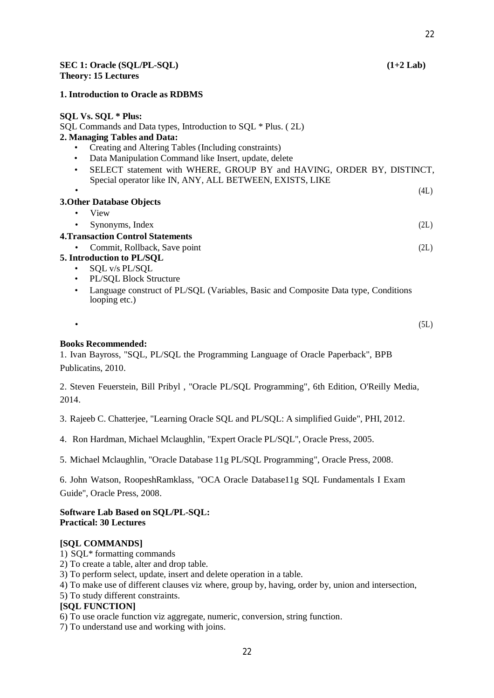### **SEC 1: Oracle (SQL/PL-SQL) (1+2 Lab) Theory: 15 Lectures**

# **1. Introduction to Oracle as RDBMS**

# **SQL Vs. SQL \* Plus:**

SQL Commands and Data types, Introduction to SQL \* Plus. ( 2L) **2. Managing Tables and Data:** • Creating and Altering Tables (Including constraints) • Data Manipulation Command like Insert, update, delete • SELECT statement with WHERE, GROUP BY and HAVING, ORDER BY, DISTINCT, Special operator like IN, ANY, ALL BETWEEN, EXISTS, LIKE •  $(4L)$ **3.Other Database Objects** • View • Synonyms, Index (2L) **4.Transaction Control Statements** • Commit, Rollback, Save point (2L) **5. Introduction to PL/SQL** • SOL v/s PL/SOL • PL/SQL Block Structure • Language construct of PL/SQL (Variables, Basic and Composite Data type, Conditions looping etc.) •  $(5L)$ 

# **Books Recommended:**

1. Ivan Bayross, "SQL, PL/SQL the Programming Language of Oracle Paperback", BPB Publicatins, 2010.

2. Steven Feuerstein, Bill Pribyl , "Oracle PL/SQL Programming", 6th Edition, O'Reilly Media, 2014.

3. Rajeeb C. Chatterjee, "Learning Oracle SQL and PL/SQL: A simplified Guide", PHI, 2012.

4. Ron Hardman, Michael Mclaughlin, "Expert Oracle PL/SQL", Oracle Press, 2005.

5. Michael Mclaughlin, "Oracle Database 11g PL/SQL Programming", Oracle Press, 2008.

6. John Watson, RoopeshRamklass, "OCA Oracle Database11g SQL Fundamentals I Exam Guide", Oracle Press, 2008.

**Software Lab Based on SQL/PL-SQL: Practical: 30 Lectures**

# **[SQL COMMANDS]**

- 1) SQL\* formatting commands
- 2) To create a table, alter and drop table.
- 3) To perform select, update, insert and delete operation in a table.
- 4) To make use of different clauses viz where, group by, having, order by, union and intersection,
- 5) To study different constraints.

# **[SQL FUNCTION]**

- 6) To use oracle function viz aggregate, numeric, conversion, string function.
- 7) To understand use and working with joins.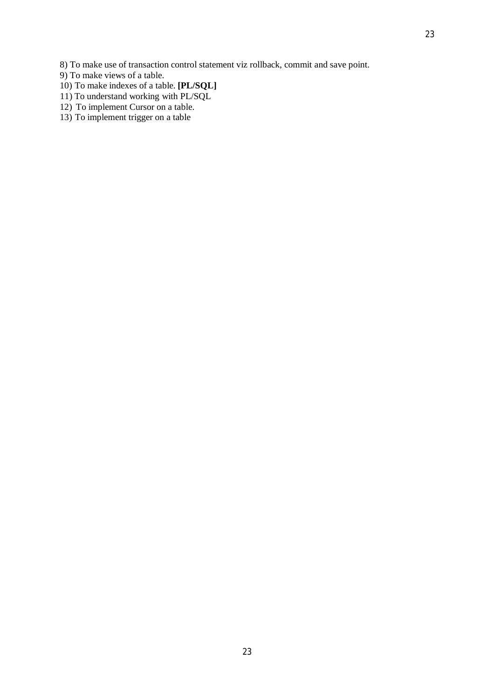- 9) To make views of a table.
- 10) To make indexes of a table. **[PL/SQL]**
- 11) To understand working with PL/SQL
- 12) To implement Cursor on a table.
- 13) To implement trigger on a table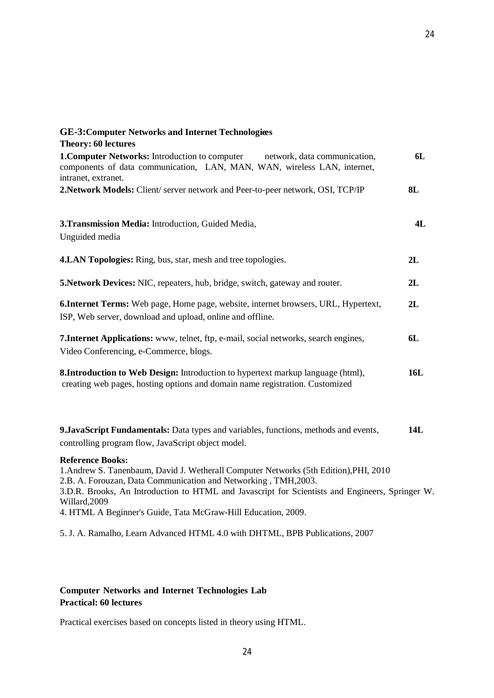| <b>GE-3: Computer Networks and Internet Technologies</b>                                                                                                                                                                                                                                                                                                                 |     |
|--------------------------------------------------------------------------------------------------------------------------------------------------------------------------------------------------------------------------------------------------------------------------------------------------------------------------------------------------------------------------|-----|
| <b>Theory: 60 lectures</b>                                                                                                                                                                                                                                                                                                                                               |     |
| <b>1. Computer Networks:</b> Introduction to computer<br>network, data communication,<br>components of data communication, LAN, MAN, WAN, wireless LAN, internet,<br>intranet, extranet.                                                                                                                                                                                 | 6L  |
| 2. Network Models: Client/server network and Peer-to-peer network, OSI, TCP/IP                                                                                                                                                                                                                                                                                           | 8L  |
| 3. Transmission Media: Introduction, Guided Media,<br>Unguided media                                                                                                                                                                                                                                                                                                     | 4L  |
| <b>4.LAN Topologies:</b> Ring, bus, star, mesh and tree topologies.                                                                                                                                                                                                                                                                                                      | 2L  |
| 5. Network Devices: NIC, repeaters, hub, bridge, switch, gateway and router.                                                                                                                                                                                                                                                                                             | 2L  |
| <b>6. Internet Terms:</b> Web page, Home page, website, internet browsers, URL, Hypertext,<br>ISP, Web server, download and upload, online and offline.                                                                                                                                                                                                                  | 2L  |
| 7. Internet Applications: www, telnet, ftp, e-mail, social networks, search engines,<br>Video Conferencing, e-Commerce, blogs.                                                                                                                                                                                                                                           | 6L  |
| <b>8.Introduction to Web Design:</b> Introduction to hypertext markup language (html),<br>creating web pages, hosting options and domain name registration. Customized                                                                                                                                                                                                   | 16L |
| <b>9. JavaScript Fundamentals:</b> Data types and variables, functions, methods and events,<br>controlling program flow, JavaScript object model.                                                                                                                                                                                                                        | 14L |
| <b>Reference Books:</b><br>1. Andrew S. Tanenbaum, David J. Wetherall Computer Networks (5th Edition), PHI, 2010<br>2.B. A. Forouzan, Data Communication and Networking, TMH, 2003.<br>3.D.R. Brooks, An Introduction to HTML and Javascript for Scientists and Engineers, Springer W.<br>Willard, 2009<br>4. HTML A Beginner's Guide, Tata McGraw-Hill Education, 2009. |     |

24

5. J. A. Ramalho, Learn Advanced HTML 4.0 with DHTML, BPB Publications, 2007

# **Computer Networks and Internet Technologies Lab Practical: 60 lectures**

Practical exercises based on concepts listed in theory using HTML.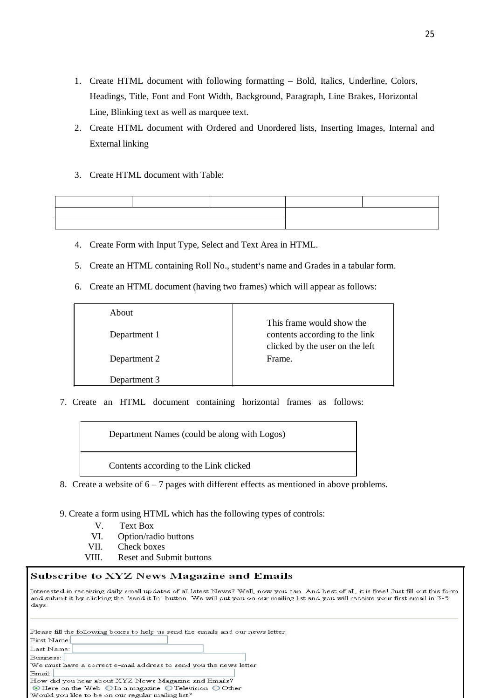- 1. Create HTML document with following formatting Bold, Italics, Underline, Colors, Headings, Title, Font and Font Width, Background, Paragraph, Line Brakes, Horizontal Line, Blinking text as well as marquee text.
- 2. Create HTML document with Ordered and Unordered lists, Inserting Images, Internal and External linking
- 3. Create HTML document with Table:

|  | ,我们也不能在这里,我们也不能不能不能不能不能不能不能不能不能不能不能不能不能不能不能不能不能。""我们,我们也不能不能不能不能不能不能不能不能不能不能不能不能 |  |
|--|----------------------------------------------------------------------------------|--|
|  |                                                                                  |  |
|  |                                                                                  |  |

- 4. Create Form with Input Type, Select and Text Area in HTML.
- 5. Create an HTML containing Roll No., student's name and Grades in a tabular form.
- 6. Create an HTML document (having two frames) which will appear as follows:

| About        |                                                                                                |
|--------------|------------------------------------------------------------------------------------------------|
| Department 1 | This frame would show the<br>contents according to the link<br>clicked by the user on the left |
| Department 2 | Frame.                                                                                         |
| Department 3 |                                                                                                |

7. Create an HTML document containing horizontal frames as follows:

Department Names (could be along with Logos)

Contents according to the Link clicked

8. Create a website of  $6 - 7$  pages with different effects as mentioned in above problems.

9. Create a form using HTML which has the following types of controls:

- V. Text Box
- VI. Option/radio buttons
- VII. Check boxes<br>VIII. Reset and Su
- Reset and Submit buttons

### Subscribe to XYZ News Magazine and Emails

Interested in receiving daily small updates of all latest News? Well, now you can. And best of all, it is free! Just fill out this form and submit it by clicking the "send it In" button. We will put you on our mailing list and you will receive your first email in 3-5 days

| Please fill the following boxes to help us send the emails and our news letter: |
|---------------------------------------------------------------------------------|
| First Name:                                                                     |
| Last Name:                                                                      |
| Business:                                                                       |
| We must have a correct e-mail address to send you the news letter               |
| Email:                                                                          |
| How did you hear about XYZ News Magazine and Emails?                            |
| $\odot$ Here on the Web $\odot$ In a magazine $\odot$ Television $\odot$ Other  |
| Would you like to be on our regular mailing list?                               |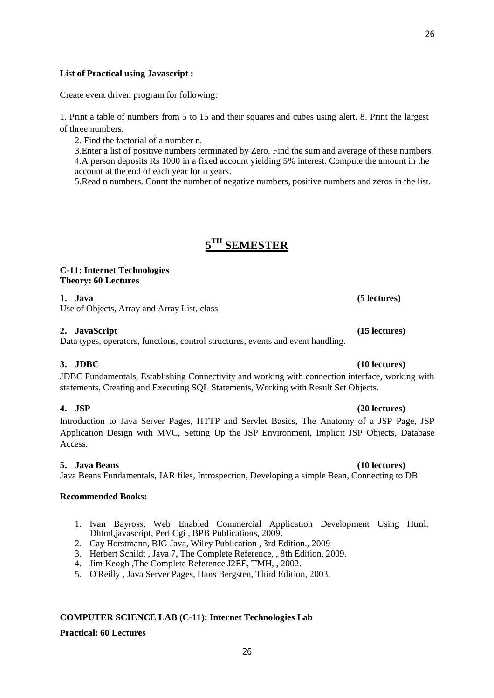# **List of Practical using Javascript :**

Create event driven program for following:

1. Print a table of numbers from 5 to 15 and their squares and cubes using alert. 8. Print the largest of three numbers.

2. Find the factorial of a number n.

3.Enter a list of positive numbers terminated by Zero. Find the sum and average of these numbers. 4.A person deposits Rs 1000 in a fixed account yielding 5% interest. Compute the amount in the account at the end of each year for n years.

5.Read n numbers. Count the number of negative numbers, positive numbers and zeros in the list.

# **5 TH SEMESTER**

### **C-11: Internet Technologies Theory: 60 Lectures**

### **1. Java (5 lectures)**

Use of Objects, Array and Array List, class

### **2. JavaScript (15 lectures)**

Data types, operators, functions, control structures, events and event handling.

# **3. JDBC (10 lectures)**

JDBC Fundamentals, Establishing Connectivity and working with connection interface, working with statements, Creating and Executing SQL Statements, Working with Result Set Objects.

Introduction to Java Server Pages, HTTP and Servlet Basics, The Anatomy of a JSP Page, JSP Application Design with MVC, Setting Up the JSP Environment, Implicit JSP Objects, Database Access.

### **5. Java Beans (10 lectures)**

# Java Beans Fundamentals, JAR files, Introspection, Developing a simple Bean, Connecting to DB

# **Recommended Books:**

- 1. Ivan Bayross, Web Enabled Commercial Application Development Using Html, Dhtml,javascript, Perl Cgi , BPB Publications, 2009.
- 2. Cay Horstmann, BIG Java, Wiley Publication , 3rd Edition., 2009
- 3. Herbert Schildt , Java 7, The Complete Reference, , 8th Edition, 2009.
- 4. Jim Keogh ,The Complete Reference J2EE, TMH, , 2002.
- 5. O'Reilly , Java Server Pages, Hans Bergsten, Third Edition, 2003.

# **COMPUTER SCIENCE LAB (C-11): Internet Technologies Lab**

### **Practical: 60 Lectures**

### **4. JSP (20 lectures)**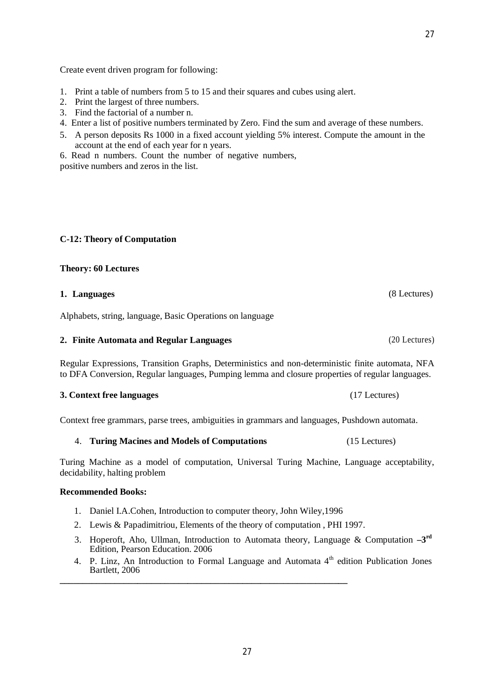Create event driven program for following:

- 1. Print a table of numbers from 5 to 15 and their squares and cubes using alert.
- 2. Print the largest of three numbers.
- 3. Find the factorial of a number n.
- 4. Enter a list of positive numbers terminated by Zero. Find the sum and average of these numbers.
- 5. A person deposits Rs 1000 in a fixed account yielding 5% interest. Compute the amount in the account at the end of each year for n years.
- 6. Read n numbers. Count the number of negative numbers, positive numbers and zeros in the list.

# **C-12: Theory of Computation**

| <b>Theory: 60 Lectures</b>                                                                                                                                                                            |                 |
|-------------------------------------------------------------------------------------------------------------------------------------------------------------------------------------------------------|-----------------|
| 1. Languages                                                                                                                                                                                          | (8 Lectures)    |
| Alphabets, string, language, Basic Operations on language                                                                                                                                             |                 |
| 2. Finite Automata and Regular Languages                                                                                                                                                              | $(20$ Lectures) |
| Regular Expressions, Transition Graphs, Deterministics and non-deterministic finite automata, NFA<br>to DFA Conversion, Regular languages, Pumping lemma and closure properties of regular languages. |                 |

# **3. Context free languages** (17 Lectures)

Context free grammars, parse trees, ambiguities in grammars and languages, Pushdown automata.

# 4. **Turing Macines and Models of Computations** (15 Lectures)

Turing Machine as a model of computation, Universal Turing Machine, Language acceptability, decidability, halting problem

# **Recommended Books:**

- 1. Daniel I.A.Cohen, Introduction to computer theory, John Wiley,1996
- 2. Lewis & Papadimitriou, Elements of the theory of computation , PHI 1997.
- 3. Hoperoft, Aho, Ullman, Introduction to Automata theory, Language & Computation **–3 rd** Edition, Pearson Education. 2006
- 4. P. Linz, An Introduction to Formal Language and Automata  $4<sup>th</sup>$  edition Publication Jones Bartlett, 2006 **\_\_\_\_\_\_\_\_\_\_\_\_\_\_\_\_\_\_\_\_\_\_\_\_\_\_\_\_\_\_\_\_\_\_\_\_\_\_\_\_\_\_\_\_\_\_\_\_\_\_\_\_\_\_\_\_\_\_\_\_\_\_\_**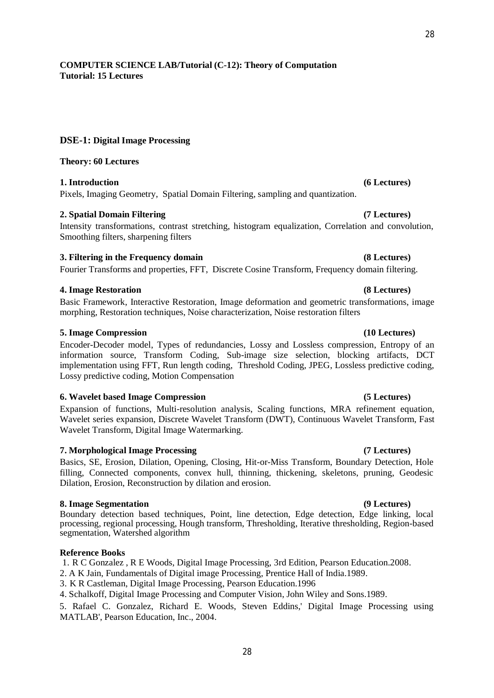# **COMPUTER SCIENCE LAB/Tutorial (C-12): Theory of Computation Tutorial: 15 Lectures**

# **DSE-1: Digital Image Processing**

# **Theory: 60 Lectures**

# **1. Introduction (6 Lectures)**

Pixels, Imaging Geometry, Spatial Domain Filtering, sampling and quantization.

# **2. Spatial Domain Filtering (7 Lectures)**

Intensity transformations, contrast stretching, histogram equalization, Correlation and convolution, Smoothing filters, sharpening filters

# **3. Filtering in the Frequency domain (8 Lectures)**

Fourier Transforms and properties, FFT, Discrete Cosine Transform, Frequency domain filtering.

# **4. Image Restoration (8 Lectures)**

Basic Framework, Interactive Restoration, Image deformation and geometric transformations, image morphing, Restoration techniques, Noise characterization, Noise restoration filters

# **5. Image Compression (10 Lectures)**

Encoder-Decoder model, Types of redundancies, Lossy and Lossless compression, Entropy of an information source, Transform Coding, Sub-image size selection, blocking artifacts, DCT implementation using FFT, Run length coding, Threshold Coding, JPEG, Lossless predictive coding, Lossy predictive coding, Motion Compensation

# **6. Wavelet based Image Compression (5 Lectures)**

Expansion of functions, Multi-resolution analysis, Scaling functions, MRA refinement equation, Wavelet series expansion, Discrete Wavelet Transform (DWT), Continuous Wavelet Transform, Fast Wavelet Transform, Digital Image Watermarking.

# **7. Morphological Image Processing (7 Lectures)**

Basics, SE, Erosion, Dilation, Opening, Closing, Hit-or-Miss Transform, Boundary Detection, Hole filling, Connected components, convex hull, thinning, thickening, skeletons, pruning, Geodesic Dilation, Erosion, Reconstruction by dilation and erosion.

# **8. Image Segmentation (9 Lectures)**

Boundary detection based techniques, Point, line detection, Edge detection, Edge linking, local processing, regional processing, Hough transform, Thresholding, Iterative thresholding, Region-based segmentation, Watershed algorithm

# **Reference Books**

1. R C Gonzalez , R E Woods, Digital Image Processing, 3rd Edition, Pearson Education.2008.

2. A K Jain, Fundamentals of Digital image Processing, Prentice Hall of India.1989.

3. K R Castleman, Digital Image Processing, Pearson Education.1996

4. Schalkoff, Digital Image Processing and Computer Vision, John Wiley and Sons.1989.

5. Rafael C. Gonzalez, Richard E. Woods, Steven Eddins,' Digital Image Processing using MATLAB', Pearson Education, Inc., 2004.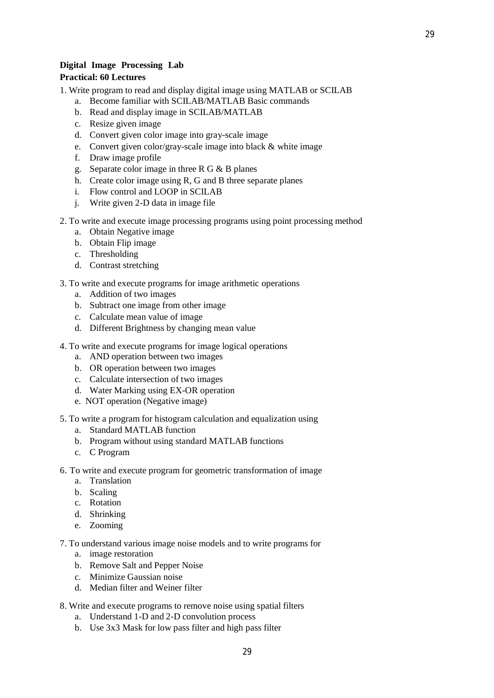# **Digital Image Processing Lab**

## **Practical: 60 Lectures**

- 1. Write program to read and display digital image using MATLAB or SCILAB
	- a. Become familiar with SCILAB/MATLAB Basic commands
	- b. Read and display image in SCILAB/MATLAB
	- c. Resize given image
	- d. Convert given color image into gray-scale image
	- e. Convert given color/gray-scale image into black & white image
	- f. Draw image profile
	- g. Separate color image in three R G & B planes
	- h. Create color image using R, G and B three separate planes
	- i. Flow control and LOOP in SCILAB
	- j. Write given 2-D data in image file
- 2. To write and execute image processing programs using point processing method
	- a. Obtain Negative image
	- b. Obtain Flip image
	- c. Thresholding
	- d. Contrast stretching
- 3. To write and execute programs for image arithmetic operations
	- a. Addition of two images
	- b. Subtract one image from other image
	- c. Calculate mean value of image
	- d. Different Brightness by changing mean value
- 4. To write and execute programs for image logical operations
	- a. AND operation between two images
	- b. OR operation between two images
	- c. Calculate intersection of two images
	- d. Water Marking using EX-OR operation
	- e. NOT operation (Negative image)
- 5. To write a program for histogram calculation and equalization using
	- a. Standard MATLAB function
	- b. Program without using standard MATLAB functions
	- c. C Program
- 6. To write and execute program for geometric transformation of image
	- a. Translation
	- b. Scaling
	- c. Rotation
	- d. Shrinking
	- e. Zooming
- 7. To understand various image noise models and to write programs for
	- a. image restoration
	- b. Remove Salt and Pepper Noise
	- c. Minimize Gaussian noise
	- d. Median filter and Weiner filter
- 8. Write and execute programs to remove noise using spatial filters
	- a. Understand 1-D and 2-D convolution process
	- b. Use 3x3 Mask for low pass filter and high pass filter

29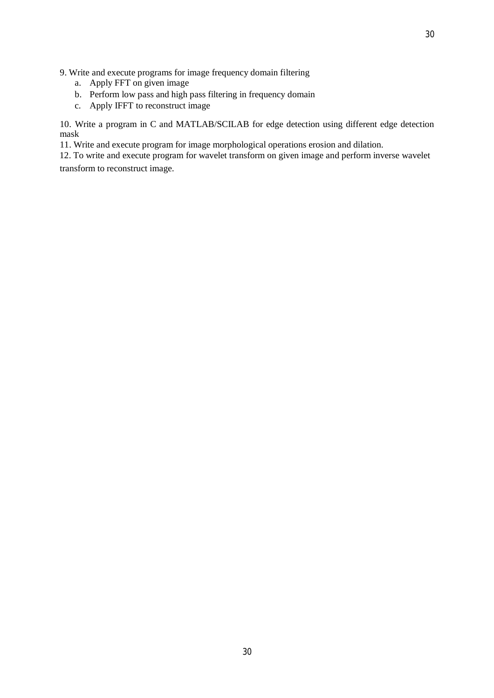9. Write and execute programs for image frequency domain filtering

- a. Apply FFT on given image
- b. Perform low pass and high pass filtering in frequency domain
- c. Apply IFFT to reconstruct image

10. Write a program in C and MATLAB/SCILAB for edge detection using different edge detection mask

11. Write and execute program for image morphological operations erosion and dilation.

12. To write and execute program for wavelet transform on given image and perform inverse wavelet transform to reconstruct image.